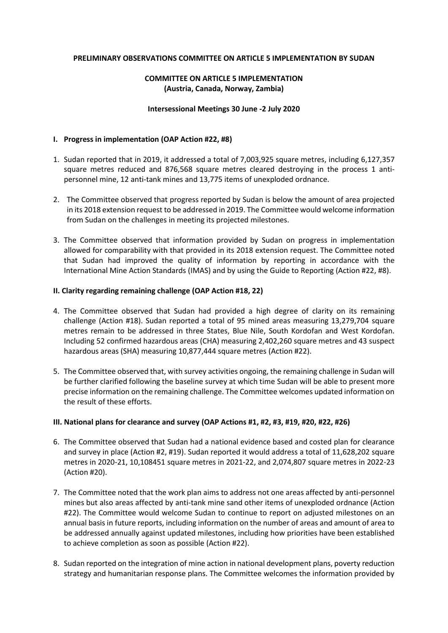# **PRELIMINARY OBSERVATIONS COMMITTEE ON ARTICLE 5 IMPLEMENTATION BY SUDAN**

# **COMMITTEE ON ARTICLE 5 IMPLEMENTATION (Austria, Canada, Norway, Zambia)**

#### **Intersessional Meetings 30 June -2 July 2020**

## **I. Progress in implementation (OAP Action #22, #8)**

- 1. Sudan reported that in 2019, it addressed a total of 7,003,925 square metres, including 6,127,357 square metres reduced and 876,568 square metres cleared destroying in the process 1 antipersonnel mine, 12 anti-tank mines and 13,775 items of unexploded ordnance.
- 2. The Committee observed that progress reported by Sudan is below the amount of area projected in its 2018 extension request to be addressed in 2019. The Committee would welcome information from Sudan on the challenges in meeting its projected milestones.
- 3. The Committee observed that information provided by Sudan on progress in implementation allowed for comparability with that provided in its 2018 extension request. The Committee noted that Sudan had improved the quality of information by reporting in accordance with the International Mine Action Standards (IMAS) and by using the Guide to Reporting (Action #22, #8).

## **II. Clarity regarding remaining challenge (OAP Action #18, 22)**

- 4. The Committee observed that Sudan had provided a high degree of clarity on its remaining challenge (Action #18). Sudan reported a total of 95 mined areas measuring 13,279,704 square metres remain to be addressed in three States, Blue Nile, South Kordofan and West Kordofan. Including 52 confirmed hazardous areas (CHA) measuring 2,402,260 square metres and 43 suspect hazardous areas (SHA) measuring 10,877,444 square metres (Action #22).
- 5. The Committee observed that, with survey activities ongoing, the remaining challenge in Sudan will be further clarified following the baseline survey at which time Sudan will be able to present more precise information on the remaining challenge. The Committee welcomes updated information on the result of these efforts.

## **III. National plans for clearance and survey (OAP Actions #1, #2, #3, #19, #20, #22, #26)**

- 6. The Committee observed that Sudan had a national evidence based and costed plan for clearance and survey in place (Action #2, #19). Sudan reported it would address a total of 11,628,202 square metres in 2020-21, 10,108451 square metres in 2021-22, and 2,074,807 square metres in 2022-23 (Action #20).
- 7. The Committee noted that the work plan aims to address not one areas affected by anti-personnel mines but also areas affected by anti-tank mine sand other items of unexploded ordnance (Action #22). The Committee would welcome Sudan to continue to report on adjusted milestones on an annual basis in future reports, including information on the number of areas and amount of area to be addressed annually against updated milestones, including how priorities have been established to achieve completion as soon as possible (Action #22).
- 8. Sudan reported on the integration of mine action in national development plans, poverty reduction strategy and humanitarian response plans. The Committee welcomes the information provided by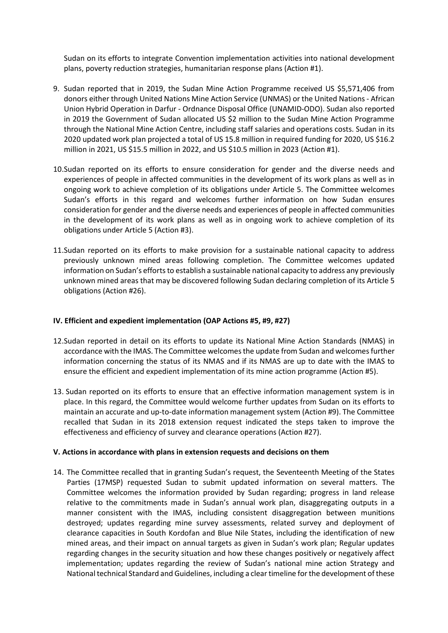Sudan on its efforts to integrate Convention implementation activities into national development plans, poverty reduction strategies, humanitarian response plans (Action #1).

- 9. Sudan reported that in 2019, the Sudan Mine Action Programme received US \$5,571,406 from donors either through United Nations Mine Action Service (UNMAS) or the United Nations - African Union Hybrid Operation in Darfur - Ordnance Disposal Office (UNAMID-ODO). Sudan also reported in 2019 the Government of Sudan allocated US \$2 million to the Sudan Mine Action Programme through the National Mine Action Centre, including staff salaries and operations costs. Sudan in its 2020 updated work plan projected a total of US 15.8 million in required funding for 2020, US \$16.2 million in 2021, US \$15.5 million in 2022, and US \$10.5 million in 2023 (Action #1).
- 10.Sudan reported on its efforts to ensure consideration for gender and the diverse needs and experiences of people in affected communities in the development of its work plans as well as in ongoing work to achieve completion of its obligations under Article 5. The Committee welcomes Sudan's efforts in this regard and welcomes further information on how Sudan ensures consideration for gender and the diverse needs and experiences of people in affected communities in the development of its work plans as well as in ongoing work to achieve completion of its obligations under Article 5 (Action #3).
- 11.Sudan reported on its efforts to make provision for a sustainable national capacity to address previously unknown mined areas following completion. The Committee welcomes updated information on Sudan's efforts to establish a sustainable national capacity to address any previously unknown mined areas that may be discovered following Sudan declaring completion of its Article 5 obligations (Action #26).

## **IV. Efficient and expedient implementation (OAP Actions #5, #9, #27)**

- 12.Sudan reported in detail on its efforts to update its National Mine Action Standards (NMAS) in accordance with the IMAS. The Committee welcomes the update from Sudan and welcomes further information concerning the status of its NMAS and if its NMAS are up to date with the IMAS to ensure the efficient and expedient implementation of its mine action programme (Action #5).
- 13. Sudan reported on its efforts to ensure that an effective information management system is in place. In this regard, the Committee would welcome further updates from Sudan on its efforts to maintain an accurate and up-to-date information management system (Action #9). The Committee recalled that Sudan in its 2018 extension request indicated the steps taken to improve the effectiveness and efficiency of survey and clearance operations (Action #27).

## **V. Actions in accordance with plans in extension requests and decisions on them**

14. The Committee recalled that in granting Sudan's request, the Seventeenth Meeting of the States Parties (17MSP) requested Sudan to submit updated information on several matters. The Committee welcomes the information provided by Sudan regarding; progress in land release relative to the commitments made in Sudan's annual work plan, disaggregating outputs in a manner consistent with the IMAS, including consistent disaggregation between munitions destroyed; updates regarding mine survey assessments, related survey and deployment of clearance capacities in South Kordofan and Blue Nile States, including the identification of new mined areas, and their impact on annual targets as given in Sudan's work plan; Regular updates regarding changes in the security situation and how these changes positively or negatively affect implementation; updates regarding the review of Sudan's national mine action Strategy and National technical Standard and Guidelines, including a clear timeline for the development of these